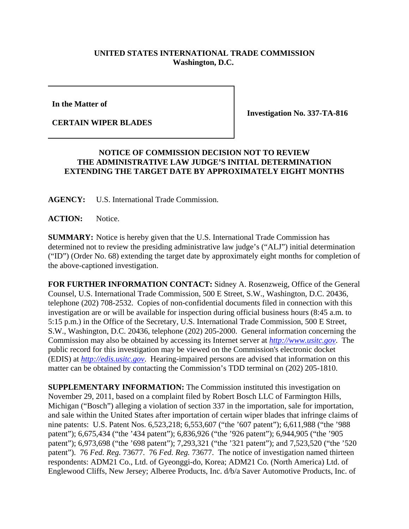## **UNITED STATES INTERNATIONAL TRADE COMMISSION Washington, D.C.**

**In the Matter of**

**CERTAIN WIPER BLADES**

**Investigation No. 337-TA-816**

## **NOTICE OF COMMISSION DECISION NOT TO REVIEW THE ADMINISTRATIVE LAW JUDGE'S INITIAL DETERMINATION EXTENDING THE TARGET DATE BY APPROXIMATELY EIGHT MONTHS**

**AGENCY:** U.S. International Trade Commission.

**ACTION:** Notice.

**SUMMARY:** Notice is hereby given that the U.S. International Trade Commission has determined not to review the presiding administrative law judge's ("ALJ") initial determination ("ID") (Order No. 68) extending the target date by approximately eight months for completion of the above-captioned investigation.

**FOR FURTHER INFORMATION CONTACT:** Sidney A. Rosenzweig, Office of the General Counsel, U.S. International Trade Commission, 500 E Street, S.W., Washington, D.C. 20436, telephone (202) 708-2532. Copies of non-confidential documents filed in connection with this investigation are or will be available for inspection during official business hours (8:45 a.m. to 5:15 p.m.) in the Office of the Secretary, U.S. International Trade Commission, 500 E Street, S.W., Washington, D.C. 20436, telephone (202) 205-2000. General information concerning the Commission may also be obtained by accessing its Internet server at *http://www.usitc.gov*. The public record for this investigation may be viewed on the Commission's electronic docket (EDIS) at *http://edis.usitc.gov*. Hearing-impaired persons are advised that information on this matter can be obtained by contacting the Commission's TDD terminal on (202) 205-1810.

**SUPPLEMENTARY INFORMATION:** The Commission instituted this investigation on November 29, 2011, based on a complaint filed by Robert Bosch LLC of Farmington Hills, Michigan ("Bosch") alleging a violation of section 337 in the importation, sale for importation, and sale within the United States after importation of certain wiper blades that infringe claims of nine patents: U.S. Patent Nos. 6,523,218; 6,553,607 ("the '607 patent"); 6,611,988 ("the '988 patent"); 6,675,434 ("the '434 patent"); 6,836,926 ("the '926 patent"); 6,944,905 ("the '905 patent"); 6,973,698 ("the '698 patent"); 7,293,321 ("the '321 patent"); and 7,523,520 ("the '520 patent"). 76 *Fed. Reg.* 73677. 76 *Fed. Reg.* 73677. The notice of investigation named thirteen respondents: ADM21 Co., Ltd. of Gyeonggi-do, Korea; ADM21 Co. (North America) Ltd. of Englewood Cliffs, New Jersey; Alberee Products, Inc. d/b/a Saver Automotive Products, Inc. of